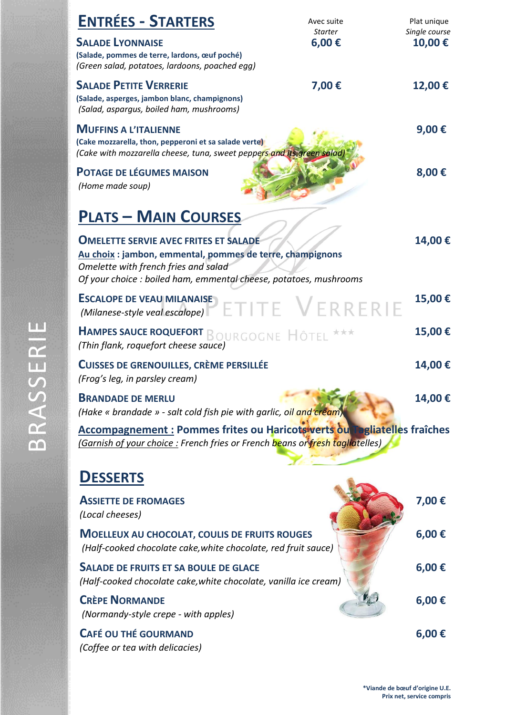| <b>ENTRÉES - STARTERS</b>                                                                                                                                                                                              | Avec suite<br><b>Starter</b> | Plat unique             |
|------------------------------------------------------------------------------------------------------------------------------------------------------------------------------------------------------------------------|------------------------------|-------------------------|
| <b>SALADE LYONNAISE</b><br>(Salade, pommes de terre, lardons, œuf poché)<br>(Green salad, potatoes, lardoons, poached egg)                                                                                             | 6,00€                        | Single course<br>10,00€ |
| <b>SALADE PETITE VERRERIE</b><br>(Salade, asperges, jambon blanc, champignons)<br>(Salad, aspargus, boiled ham, mushrooms)                                                                                             | 7,00€                        | 12,00€                  |
| <b>MUFFINS A L'ITALIENNE</b><br>(Cake mozzarella, thon, pepperoni et sa salade verte)<br>(Cake with mozzarella cheese, tuna, sweet peppers and its green salad)                                                        |                              | 9,00€                   |
| <b>POTAGE DE LÉGUMES MAISON</b><br>(Home made soup)                                                                                                                                                                    |                              | 8,00€                   |
| <b>PLATS - MAIN COURSES</b>                                                                                                                                                                                            |                              |                         |
| <b>OMELETTE SERVIE AVEC FRITES ET SALADE</b><br>Au choix : jambon, emmental, pommes de terre, champignons<br>Omelette with french fries and salad<br>Of your choice : boiled ham, emmental cheese, potatoes, mushrooms |                              | 14,00€                  |
| <b>ESCALOPE DE VEAU MILANAISE</b><br>(Milanese-style veal escalope)                                                                                                                                                    | ETITE VERRERIE               | 15,00€                  |
| <b>HAMPES SAUCE ROQUEFORT BOURGOGNE HÔTEL</b><br>(Thin flank, roquefort cheese sauce)                                                                                                                                  |                              | 15,00€                  |
| <b>CUISSES DE GRENOUILLES, CRÈME PERSILLÉE</b><br>(Frog's leg, in parsley cream)                                                                                                                                       |                              | 14,00€                  |
| <b>BRANDADE DE MERLU</b><br>(Hake « brandade » - salt cold fish pie with garlic, oil and cream)                                                                                                                        |                              | 14,00€                  |
| Accompagnement : Pommes frites ou Haricotswerts ou l'agliatelles fraîches<br>(Garnish of your choice: French fries or French beans or fresh tagliatelles)                                                              |                              |                         |
| <b>DESSERTS</b>                                                                                                                                                                                                        |                              |                         |
| <b>ASSIETTE DE FROMAGES</b><br>(Local cheeses)                                                                                                                                                                         |                              | 7,00€                   |
| <b>MOELLEUX AU CHOCOLAT, COULIS DE FRUITS ROUGES</b><br>(Half-cooked chocolate cake, white chocolate, red fruit sauce)                                                                                                 |                              | 6,00€                   |
| <b>SALADE DE FRUITS ET SA BOULE DE GLACE</b><br>(Half-cooked chocolate cake, white chocolate, vanilla ice cream)                                                                                                       |                              | 6,00€                   |
| <b>CRÈPE NORMANDE</b><br>(Normandy-style crepe - with apples)                                                                                                                                                          |                              | 6,00€                   |
| <b>CAFÉ OU THÉ GOURMAND</b><br>(Coffee or tea with delicacies)                                                                                                                                                         |                              | 6,00€                   |

**\*Viande de bœuf d'origine U.E. Prix net, service compris**